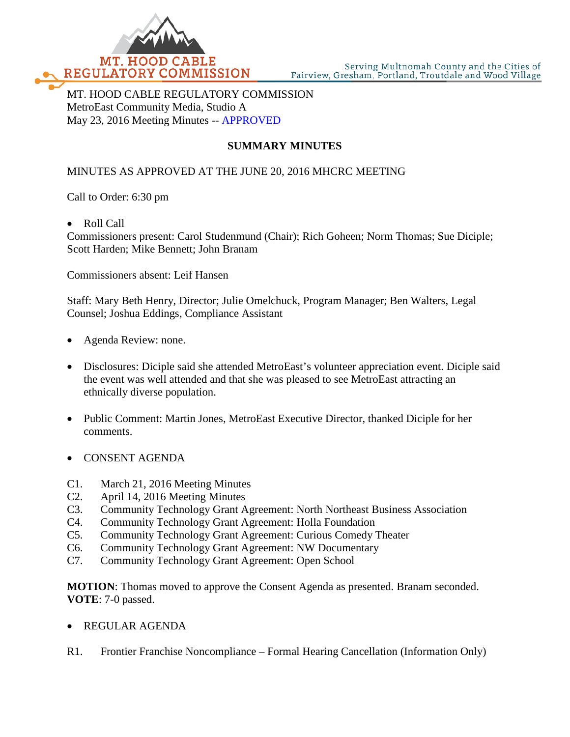

MT. HOOD CABLE REGULATORY COMMISSION MetroEast Community Media, Studio A May 23, 2016 Meeting Minutes -- APPROVED

# **SUMMARY MINUTES**

## MINUTES AS APPROVED AT THE JUNE 20, 2016 MHCRC MEETING

Call to Order: 6:30 pm

• Roll Call

Commissioners present: Carol Studenmund (Chair); Rich Goheen; Norm Thomas; Sue Diciple; Scott Harden; Mike Bennett; John Branam

Commissioners absent: Leif Hansen

Staff: Mary Beth Henry, Director; Julie Omelchuck, Program Manager; Ben Walters, Legal Counsel; Joshua Eddings, Compliance Assistant

- Agenda Review: none.
- Disclosures: Diciple said she attended MetroEast's volunteer appreciation event. Diciple said the event was well attended and that she was pleased to see MetroEast attracting an ethnically diverse population.
- Public Comment: Martin Jones, MetroEast Executive Director, thanked Diciple for her comments.
- CONSENT AGENDA
- C1. March 21, 2016 Meeting Minutes
- C2. April 14, 2016 Meeting Minutes
- C3. Community Technology Grant Agreement: North Northeast Business Association
- C4. Community Technology Grant Agreement: Holla Foundation
- C5. Community Technology Grant Agreement: Curious Comedy Theater
- C6. Community Technology Grant Agreement: NW Documentary
- C7. Community Technology Grant Agreement: Open School

**MOTION**: Thomas moved to approve the Consent Agenda as presented. Branam seconded. **VOTE**: 7-0 passed.

- REGULAR AGENDA
- R1. Frontier Franchise Noncompliance Formal Hearing Cancellation (Information Only)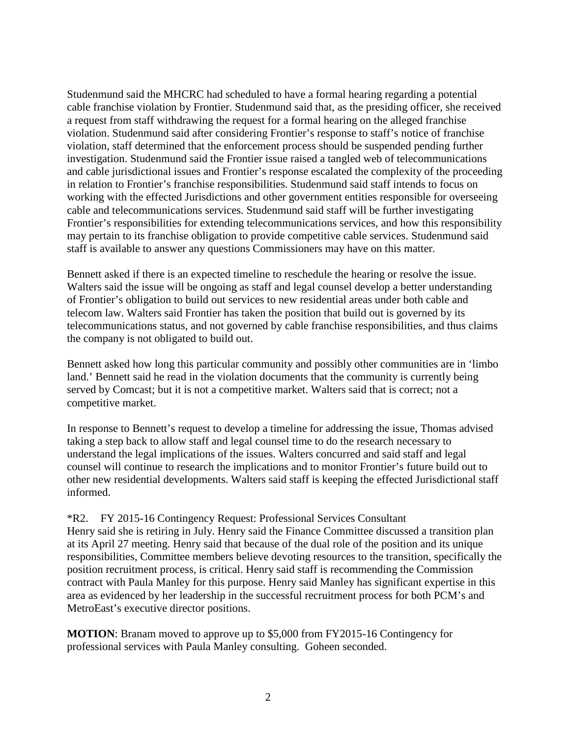Studenmund said the MHCRC had scheduled to have a formal hearing regarding a potential cable franchise violation by Frontier. Studenmund said that, as the presiding officer, she received a request from staff withdrawing the request for a formal hearing on the alleged franchise violation. Studenmund said after considering Frontier's response to staff's notice of franchise violation, staff determined that the enforcement process should be suspended pending further investigation. Studenmund said the Frontier issue raised a tangled web of telecommunications and cable jurisdictional issues and Frontier's response escalated the complexity of the proceeding in relation to Frontier's franchise responsibilities. Studenmund said staff intends to focus on working with the effected Jurisdictions and other government entities responsible for overseeing cable and telecommunications services. Studenmund said staff will be further investigating Frontier's responsibilities for extending telecommunications services, and how this responsibility may pertain to its franchise obligation to provide competitive cable services. Studenmund said staff is available to answer any questions Commissioners may have on this matter.

Bennett asked if there is an expected timeline to reschedule the hearing or resolve the issue. Walters said the issue will be ongoing as staff and legal counsel develop a better understanding of Frontier's obligation to build out services to new residential areas under both cable and telecom law. Walters said Frontier has taken the position that build out is governed by its telecommunications status, and not governed by cable franchise responsibilities, and thus claims the company is not obligated to build out.

Bennett asked how long this particular community and possibly other communities are in 'limbo land.' Bennett said he read in the violation documents that the community is currently being served by Comcast; but it is not a competitive market. Walters said that is correct; not a competitive market.

In response to Bennett's request to develop a timeline for addressing the issue, Thomas advised taking a step back to allow staff and legal counsel time to do the research necessary to understand the legal implications of the issues. Walters concurred and said staff and legal counsel will continue to research the implications and to monitor Frontier's future build out to other new residential developments. Walters said staff is keeping the effected Jurisdictional staff informed.

## \*R2. FY 2015-16 Contingency Request: Professional Services Consultant

Henry said she is retiring in July. Henry said the Finance Committee discussed a transition plan at its April 27 meeting. Henry said that because of the dual role of the position and its unique responsibilities, Committee members believe devoting resources to the transition, specifically the position recruitment process, is critical. Henry said staff is recommending the Commission contract with Paula Manley for this purpose. Henry said Manley has significant expertise in this area as evidenced by her leadership in the successful recruitment process for both PCM's and MetroEast's executive director positions.

**MOTION**: Branam moved to approve up to \$5,000 from FY2015-16 Contingency for professional services with Paula Manley consulting. Goheen seconded.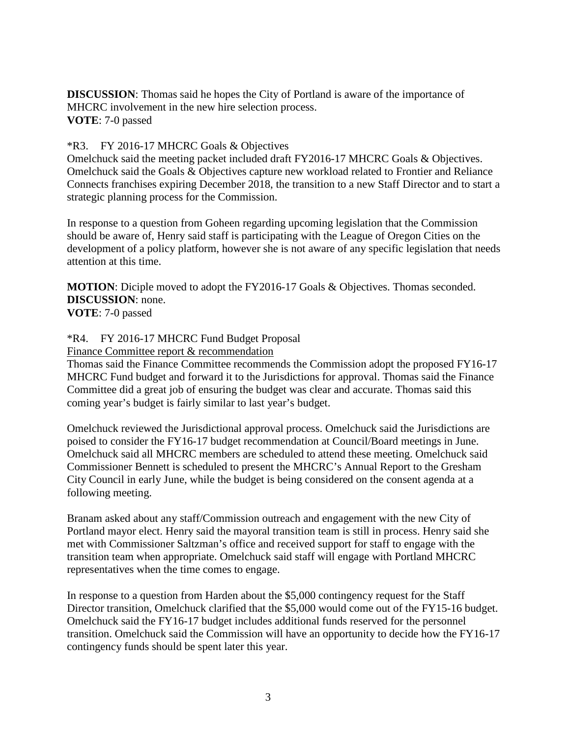**DISCUSSION**: Thomas said he hopes the City of Portland is aware of the importance of MHCRC involvement in the new hire selection process. **VOTE**: 7-0 passed

### \*R3. FY 2016-17 MHCRC Goals & Objectives

Omelchuck said the meeting packet included draft FY2016-17 MHCRC Goals & Objectives. Omelchuck said the Goals & Objectives capture new workload related to Frontier and Reliance Connects franchises expiring December 2018, the transition to a new Staff Director and to start a strategic planning process for the Commission.

In response to a question from Goheen regarding upcoming legislation that the Commission should be aware of, Henry said staff is participating with the League of Oregon Cities on the development of a policy platform, however she is not aware of any specific legislation that needs attention at this time.

**MOTION**: Diciple moved to adopt the FY2016-17 Goals & Objectives. Thomas seconded. **DISCUSSION**: none.

**VOTE**: 7-0 passed

#### \*R4. FY 2016-17 MHCRC Fund Budget Proposal

Finance Committee report & recommendation

Thomas said the Finance Committee recommends the Commission adopt the proposed FY16-17 MHCRC Fund budget and forward it to the Jurisdictions for approval. Thomas said the Finance Committee did a great job of ensuring the budget was clear and accurate. Thomas said this coming year's budget is fairly similar to last year's budget.

Omelchuck reviewed the Jurisdictional approval process. Omelchuck said the Jurisdictions are poised to consider the FY16-17 budget recommendation at Council/Board meetings in June. Omelchuck said all MHCRC members are scheduled to attend these meeting. Omelchuck said Commissioner Bennett is scheduled to present the MHCRC's Annual Report to the Gresham City Council in early June, while the budget is being considered on the consent agenda at a following meeting.

Branam asked about any staff/Commission outreach and engagement with the new City of Portland mayor elect. Henry said the mayoral transition team is still in process. Henry said she met with Commissioner Saltzman's office and received support for staff to engage with the transition team when appropriate. Omelchuck said staff will engage with Portland MHCRC representatives when the time comes to engage.

In response to a question from Harden about the \$5,000 contingency request for the Staff Director transition, Omelchuck clarified that the \$5,000 would come out of the FY15-16 budget. Omelchuck said the FY16-17 budget includes additional funds reserved for the personnel transition. Omelchuck said the Commission will have an opportunity to decide how the FY16-17 contingency funds should be spent later this year.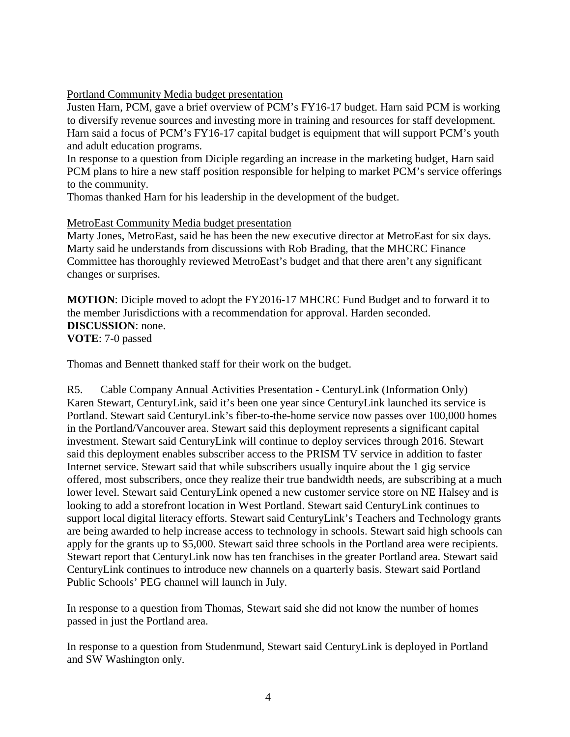Portland Community Media budget presentation

Justen Harn, PCM, gave a brief overview of PCM's FY16-17 budget. Harn said PCM is working to diversify revenue sources and investing more in training and resources for staff development. Harn said a focus of PCM's FY16-17 capital budget is equipment that will support PCM's youth and adult education programs.

In response to a question from Diciple regarding an increase in the marketing budget, Harn said PCM plans to hire a new staff position responsible for helping to market PCM's service offerings to the community.

Thomas thanked Harn for his leadership in the development of the budget.

MetroEast Community Media budget presentation

Marty Jones, MetroEast, said he has been the new executive director at MetroEast for six days. Marty said he understands from discussions with Rob Brading, that the MHCRC Finance Committee has thoroughly reviewed MetroEast's budget and that there aren't any significant changes or surprises.

**MOTION**: Diciple moved to adopt the FY2016-17 MHCRC Fund Budget and to forward it to the member Jurisdictions with a recommendation for approval. Harden seconded. **DISCUSSION**: none. **VOTE**: 7-0 passed

Thomas and Bennett thanked staff for their work on the budget.

R5. Cable Company Annual Activities Presentation - CenturyLink (Information Only) Karen Stewart, CenturyLink, said it's been one year since CenturyLink launched its service is Portland. Stewart said CenturyLink's fiber-to-the-home service now passes over 100,000 homes in the Portland/Vancouver area. Stewart said this deployment represents a significant capital investment. Stewart said CenturyLink will continue to deploy services through 2016. Stewart said this deployment enables subscriber access to the PRISM TV service in addition to faster Internet service. Stewart said that while subscribers usually inquire about the 1 gig service offered, most subscribers, once they realize their true bandwidth needs, are subscribing at a much lower level. Stewart said CenturyLink opened a new customer service store on NE Halsey and is looking to add a storefront location in West Portland. Stewart said CenturyLink continues to support local digital literacy efforts. Stewart said CenturyLink's Teachers and Technology grants are being awarded to help increase access to technology in schools. Stewart said high schools can apply for the grants up to \$5,000. Stewart said three schools in the Portland area were recipients. Stewart report that CenturyLink now has ten franchises in the greater Portland area. Stewart said CenturyLink continues to introduce new channels on a quarterly basis. Stewart said Portland Public Schools' PEG channel will launch in July.

In response to a question from Thomas, Stewart said she did not know the number of homes passed in just the Portland area.

In response to a question from Studenmund, Stewart said CenturyLink is deployed in Portland and SW Washington only.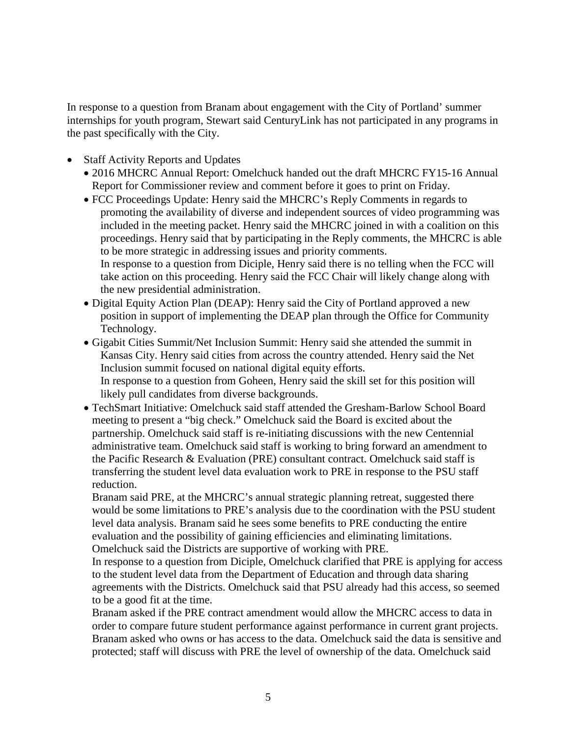In response to a question from Branam about engagement with the City of Portland' summer internships for youth program, Stewart said CenturyLink has not participated in any programs in the past specifically with the City.

- Staff Activity Reports and Updates
	- 2016 MHCRC Annual Report: Omelchuck handed out the draft MHCRC FY15-16 Annual Report for Commissioner review and comment before it goes to print on Friday.
	- FCC Proceedings Update: Henry said the MHCRC's Reply Comments in regards to promoting the availability of diverse and independent sources of video programming was included in the meeting packet. Henry said the MHCRC joined in with a coalition on this proceedings. Henry said that by participating in the Reply comments, the MHCRC is able to be more strategic in addressing issues and priority comments. In response to a question from Diciple, Henry said there is no telling when the FCC will take action on this proceeding. Henry said the FCC Chair will likely change along with the new presidential administration.
	- Digital Equity Action Plan (DEAP): Henry said the City of Portland approved a new position in support of implementing the DEAP plan through the Office for Community Technology.
	- Gigabit Cities Summit/Net Inclusion Summit: Henry said she attended the summit in Kansas City. Henry said cities from across the country attended. Henry said the Net Inclusion summit focused on national digital equity efforts. In response to a question from Goheen, Henry said the skill set for this position will likely pull candidates from diverse backgrounds.
	- TechSmart Initiative: Omelchuck said staff attended the Gresham-Barlow School Board meeting to present a "big check." Omelchuck said the Board is excited about the partnership. Omelchuck said staff is re-initiating discussions with the new Centennial administrative team. Omelchuck said staff is working to bring forward an amendment to the Pacific Research & Evaluation (PRE) consultant contract. Omelchuck said staff is transferring the student level data evaluation work to PRE in response to the PSU staff reduction.

Branam said PRE, at the MHCRC's annual strategic planning retreat, suggested there would be some limitations to PRE's analysis due to the coordination with the PSU student level data analysis. Branam said he sees some benefits to PRE conducting the entire evaluation and the possibility of gaining efficiencies and eliminating limitations. Omelchuck said the Districts are supportive of working with PRE.

In response to a question from Diciple, Omelchuck clarified that PRE is applying for access to the student level data from the Department of Education and through data sharing agreements with the Districts. Omelchuck said that PSU already had this access, so seemed to be a good fit at the time.

Branam asked if the PRE contract amendment would allow the MHCRC access to data in order to compare future student performance against performance in current grant projects. Branam asked who owns or has access to the data. Omelchuck said the data is sensitive and protected; staff will discuss with PRE the level of ownership of the data. Omelchuck said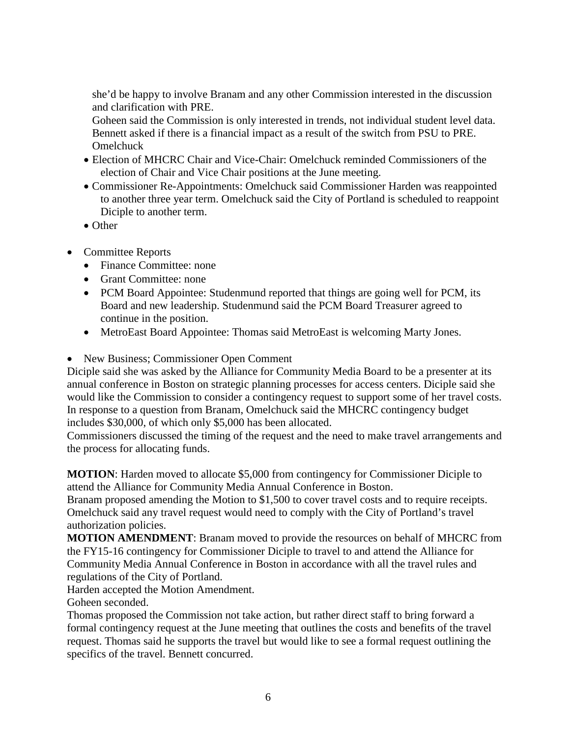she'd be happy to involve Branam and any other Commission interested in the discussion and clarification with PRE.

Goheen said the Commission is only interested in trends, not individual student level data. Bennett asked if there is a financial impact as a result of the switch from PSU to PRE. Omelchuck

- Election of MHCRC Chair and Vice-Chair: Omelchuck reminded Commissioners of the election of Chair and Vice Chair positions at the June meeting.
- Commissioner Re-Appointments: Omelchuck said Commissioner Harden was reappointed to another three year term. Omelchuck said the City of Portland is scheduled to reappoint Diciple to another term.
- Other
- Committee Reports
	- Finance Committee: none
	- Grant Committee: none
	- PCM Board Appointee: Studenmund reported that things are going well for PCM, its Board and new leadership. Studenmund said the PCM Board Treasurer agreed to continue in the position.
	- MetroEast Board Appointee: Thomas said MetroEast is welcoming Marty Jones.
- New Business; Commissioner Open Comment

Diciple said she was asked by the Alliance for Community Media Board to be a presenter at its annual conference in Boston on strategic planning processes for access centers. Diciple said she would like the Commission to consider a contingency request to support some of her travel costs. In response to a question from Branam, Omelchuck said the MHCRC contingency budget includes \$30,000, of which only \$5,000 has been allocated.

Commissioners discussed the timing of the request and the need to make travel arrangements and the process for allocating funds.

**MOTION**: Harden moved to allocate \$5,000 from contingency for Commissioner Diciple to attend the Alliance for Community Media Annual Conference in Boston.

Branam proposed amending the Motion to \$1,500 to cover travel costs and to require receipts. Omelchuck said any travel request would need to comply with the City of Portland's travel authorization policies.

**MOTION AMENDMENT**: Branam moved to provide the resources on behalf of MHCRC from the FY15-16 contingency for Commissioner Diciple to travel to and attend the Alliance for Community Media Annual Conference in Boston in accordance with all the travel rules and regulations of the City of Portland.

Harden accepted the Motion Amendment.

Goheen seconded.

Thomas proposed the Commission not take action, but rather direct staff to bring forward a formal contingency request at the June meeting that outlines the costs and benefits of the travel request. Thomas said he supports the travel but would like to see a formal request outlining the specifics of the travel. Bennett concurred.